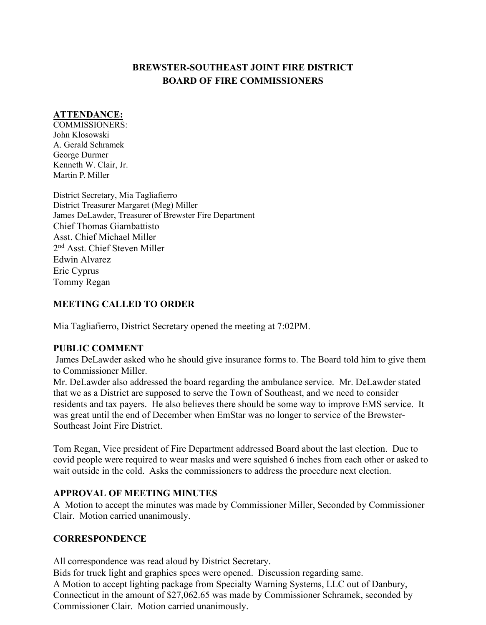# **BREWSTER-SOUTHEAST JOINT FIRE DISTRICT BOARD OF FIRE COMMISSIONERS**

## **ATTENDANCE:**

COMMISSIONERS: John Klosowski A. Gerald Schramek George Durmer Kenneth W. Clair, Jr. Martin P. Miller

District Secretary, Mia Tagliafierro District Treasurer Margaret (Meg) Miller James DeLawder, Treasurer of Brewster Fire Department Chief Thomas Giambattisto Asst. Chief Michael Miller 2nd Asst. Chief Steven Miller Edwin Alvarez Eric Cyprus Tommy Regan

## **MEETING CALLED TO ORDER**

Mia Tagliafierro, District Secretary opened the meeting at 7:02PM.

### **PUBLIC COMMENT**

James DeLawder asked who he should give insurance forms to. The Board told him to give them to Commissioner Miller.

Mr. DeLawder also addressed the board regarding the ambulance service. Mr. DeLawder stated that we as a District are supposed to serve the Town of Southeast, and we need to consider residents and tax payers. He also believes there should be some way to improve EMS service. It was great until the end of December when EmStar was no longer to service of the Brewster-Southeast Joint Fire District.

Tom Regan, Vice president of Fire Department addressed Board about the last election. Due to covid people were required to wear masks and were squished 6 inches from each other or asked to wait outside in the cold. Asks the commissioners to address the procedure next election.

### **APPROVAL OF MEETING MINUTES**

A Motion to accept the minutes was made by Commissioner Miller, Seconded by Commissioner Clair. Motion carried unanimously.

## **CORRESPONDENCE**

All correspondence was read aloud by District Secretary.

Bids for truck light and graphics specs were opened. Discussion regarding same. A Motion to accept lighting package from Specialty Warning Systems, LLC out of Danbury, Connecticut in the amount of \$27,062.65 was made by Commissioner Schramek, seconded by Commissioner Clair. Motion carried unanimously.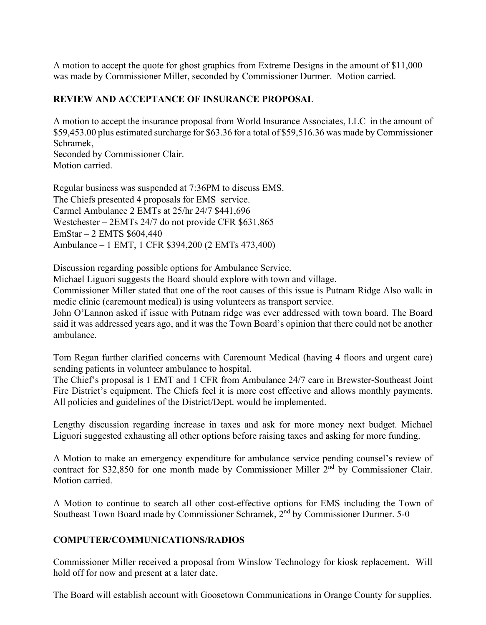A motion to accept the quote for ghost graphics from Extreme Designs in the amount of \$11,000 was made by Commissioner Miller, seconded by Commissioner Durmer. Motion carried.

#### **REVIEW AND ACCEPTANCE OF INSURANCE PROPOSAL**

A motion to accept the insurance proposal from World Insurance Associates, LLC in the amount of \$59,453.00 plus estimated surcharge for \$63.36 for a total of \$59,516.36 was made by Commissioner Schramek, Seconded by Commissioner Clair.

Motion carried.

Regular business was suspended at 7:36PM to discuss EMS. The Chiefs presented 4 proposals for EMS service. Carmel Ambulance 2 EMTs at 25/hr 24/7 \$441,696 Westchester – 2EMTs 24/7 do not provide CFR \$631,865 EmStar – 2 EMTS \$604,440 Ambulance – 1 EMT, 1 CFR \$394,200 (2 EMTs 473,400)

Discussion regarding possible options for Ambulance Service.

Michael Liguori suggests the Board should explore with town and village.

Commissioner Miller stated that one of the root causes of this issue is Putnam Ridge Also walk in medic clinic (caremount medical) is using volunteers as transport service.

John O'Lannon asked if issue with Putnam ridge was ever addressed with town board. The Board said it was addressed years ago, and it was the Town Board's opinion that there could not be another ambulance.

Tom Regan further clarified concerns with Caremount Medical (having 4 floors and urgent care) sending patients in volunteer ambulance to hospital.

The Chief's proposal is 1 EMT and 1 CFR from Ambulance 24/7 care in Brewster-Southeast Joint Fire District's equipment. The Chiefs feel it is more cost effective and allows monthly payments. All policies and guidelines of the District/Dept. would be implemented.

Lengthy discussion regarding increase in taxes and ask for more money next budget. Michael Liguori suggested exhausting all other options before raising taxes and asking for more funding.

A Motion to make an emergency expenditure for ambulance service pending counsel's review of contract for \$32,850 for one month made by Commissioner Miller 2<sup>nd</sup> by Commissioner Clair. Motion carried.

A Motion to continue to search all other cost-effective options for EMS including the Town of Southeast Town Board made by Commissioner Schramek, 2nd by Commissioner Durmer. 5-0

#### **COMPUTER/COMMUNICATIONS/RADIOS**

Commissioner Miller received a proposal from Winslow Technology for kiosk replacement. Will hold off for now and present at a later date.

The Board will establish account with Goosetown Communications in Orange County for supplies.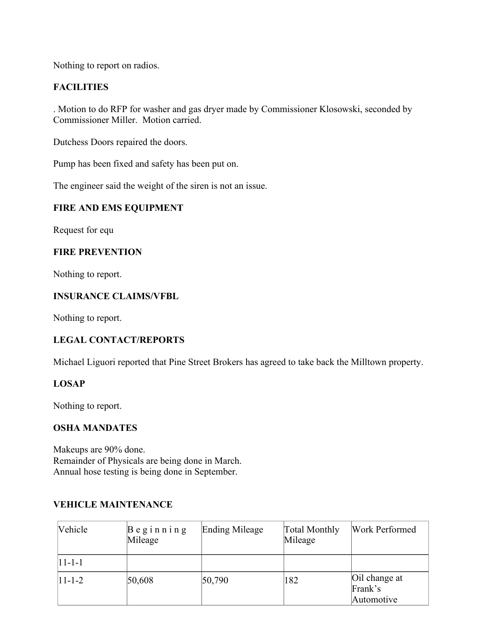Nothing to report on radios.

## **FACILITIES**

. Motion to do RFP for washer and gas dryer made by Commissioner Klosowski, seconded by Commissioner Miller. Motion carried.

Dutchess Doors repaired the doors.

Pump has been fixed and safety has been put on.

The engineer said the weight of the siren is not an issue.

### **FIRE AND EMS EQUIPMENT**

Request for equ

### **FIRE PREVENTION**

Nothing to report.

## **INSURANCE CLAIMS/VFBL**

Nothing to report.

## **LEGAL CONTACT/REPORTS**

Michael Liguori reported that Pine Street Brokers has agreed to take back the Milltown property.

### **LOSAP**

Nothing to report.

### **OSHA MANDATES**

Makeups are 90% done. Remainder of Physicals are being done in March. Annual hose testing is being done in September.

### **VEHICLE MAINTENANCE**

| Vehicle        | $B$ eginning<br>Mileage | Ending Mileage | Total Monthly<br>Mileage | Work Performed                         |
|----------------|-------------------------|----------------|--------------------------|----------------------------------------|
| $ 11 - 1 - 1 $ |                         |                |                          |                                        |
| $ 11 - 1 - 2 $ | 50,608                  | 50,790         | 182                      | Oil change at<br>Frank's<br>Automotive |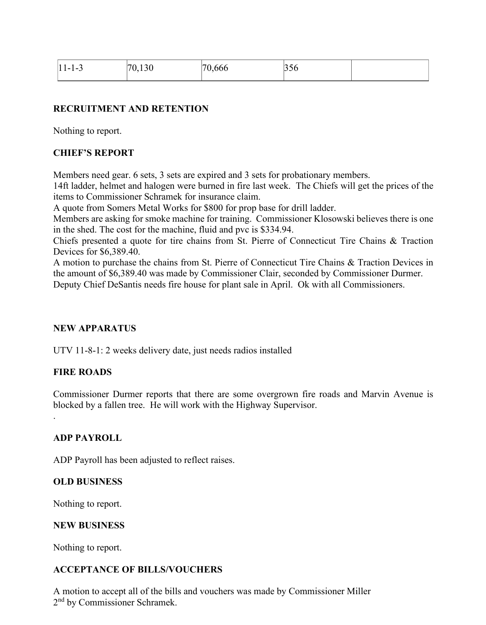| $ 11 - 1 - 3$ | 12C<br>170<br>$\rightarrow$<br>v. 1 J v | $\epsilon$<br>70,666 | 1330 |  |
|---------------|-----------------------------------------|----------------------|------|--|
|               |                                         |                      |      |  |

#### **RECRUITMENT AND RETENTION**

Nothing to report.

#### **CHIEF'S REPORT**

Members need gear. 6 sets, 3 sets are expired and 3 sets for probationary members.

14ft ladder, helmet and halogen were burned in fire last week. The Chiefs will get the prices of the items to Commissioner Schramek for insurance claim.

A quote from Somers Metal Works for \$800 for prop base for drill ladder.

Members are asking for smoke machine for training. Commissioner Klosowski believes there is one in the shed. The cost for the machine, fluid and pvc is \$334.94.

Chiefs presented a quote for tire chains from St. Pierre of Connecticut Tire Chains & Traction Devices for \$6,389.40.

A motion to purchase the chains from St. Pierre of Connecticut Tire Chains & Traction Devices in the amount of \$6,389.40 was made by Commissioner Clair, seconded by Commissioner Durmer. Deputy Chief DeSantis needs fire house for plant sale in April. Ok with all Commissioners.

#### **NEW APPARATUS**

UTV 11-8-1: 2 weeks delivery date, just needs radios installed

#### **FIRE ROADS**

.

Commissioner Durmer reports that there are some overgrown fire roads and Marvin Avenue is blocked by a fallen tree. He will work with the Highway Supervisor.

#### **ADP PAYROLL**

ADP Payroll has been adjusted to reflect raises.

#### **OLD BUSINESS**

Nothing to report.

#### **NEW BUSINESS**

Nothing to report.

#### **ACCEPTANCE OF BILLS/VOUCHERS**

A motion to accept all of the bills and vouchers was made by Commissioner Miller 2nd by Commissioner Schramek.